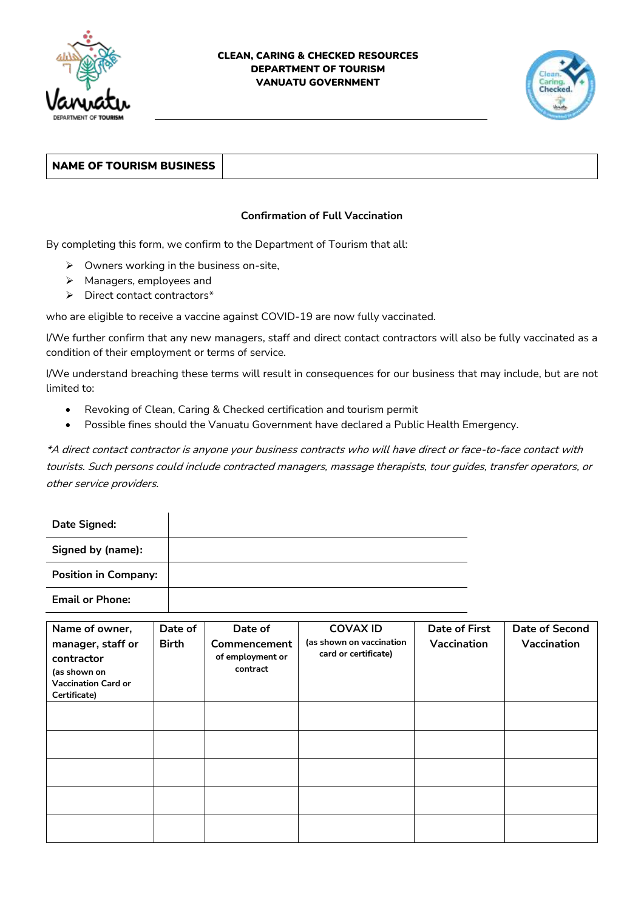

## CLEAN, CARING & CHECKED RESOURCES DEPARTMENT OF TOURISM VANUATU GOVERNMENT



## NAME OF TOURISM BUSINESS

## **Confirmation of Full Vaccination**

By completing this form, we confirm to the Department of Tourism that all:

- ➢ Owners working in the business on-site,
- ➢ Managers, employees and
- ➢ Direct contact contractors\*

who are eligible to receive a vaccine against COVID-19 are now fully vaccinated.

I/We further confirm that any new managers, staff and direct contact contractors will also be fully vaccinated as a condition of their employment or terms of service.

I/We understand breaching these terms will result in consequences for our business that may include, but are not limited to:

- Revoking of Clean, Caring & Checked certification and tourism permit
- Possible fines should the Vanuatu Government have declared a Public Health Emergency.

\*A direct contact contractor is anyone your business contracts who will have direct or face-to-face contact with tourists. Such persons could include contracted managers, massage therapists, tour guides, transfer operators, or other service providers.

| <b>Date Signed:</b>         |  |
|-----------------------------|--|
| Signed by (name):           |  |
| <b>Position in Company:</b> |  |
| <b>Email or Phone:</b>      |  |

| Name of owner,<br>manager, staff or<br>contractor<br>(as shown on<br><b>Vaccination Card or</b><br>Certificate) | Date of<br><b>Birth</b> | Date of<br>Commencement<br>of employment or<br>contract | <b>COVAX ID</b><br>(as shown on vaccination<br>card or certificate) | <b>Date of First</b><br>Vaccination | <b>Date of Second</b><br>Vaccination |
|-----------------------------------------------------------------------------------------------------------------|-------------------------|---------------------------------------------------------|---------------------------------------------------------------------|-------------------------------------|--------------------------------------|
|                                                                                                                 |                         |                                                         |                                                                     |                                     |                                      |
|                                                                                                                 |                         |                                                         |                                                                     |                                     |                                      |
|                                                                                                                 |                         |                                                         |                                                                     |                                     |                                      |
|                                                                                                                 |                         |                                                         |                                                                     |                                     |                                      |
|                                                                                                                 |                         |                                                         |                                                                     |                                     |                                      |